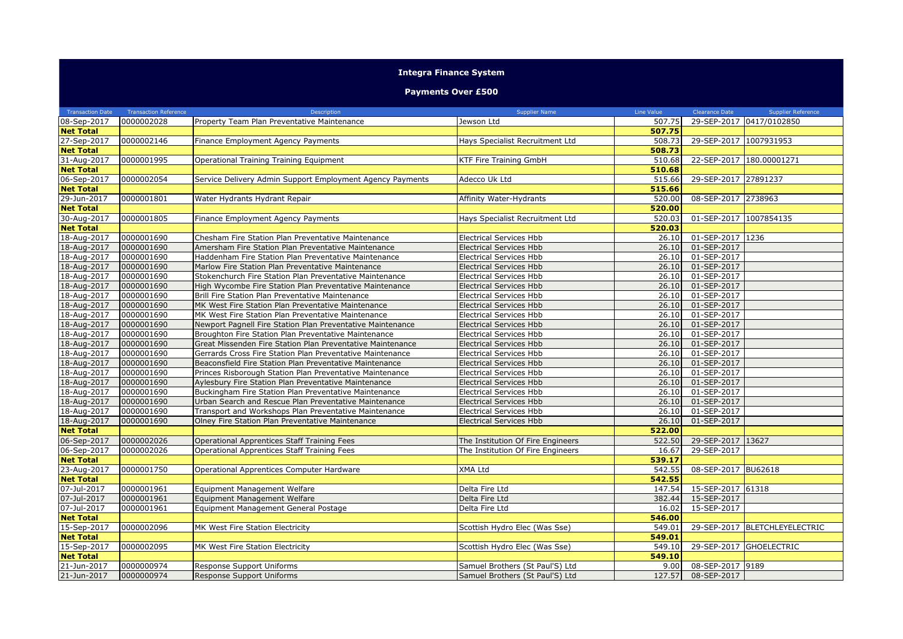## **Integra Finance System**

## **Payments Over £500**

| <b>Transaction Date</b>         | <b>Transaction Reference</b> | Description                                                | <b>Supplier Name</b>              | Line Value       | <b>Clearance Date</b> | <b>Supplier Reference</b> |
|---------------------------------|------------------------------|------------------------------------------------------------|-----------------------------------|------------------|-----------------------|---------------------------|
| 08-Sep-2017                     | 0000002028                   | Property Team Plan Preventative Maintenance                | Jewson Ltd                        | 507.75           |                       | 29-SEP-2017 0417/0102850  |
| <b>Net Total</b>                |                              |                                                            |                                   | 507.75           |                       |                           |
| 27-Sep-2017                     | 0000002146                   | Finance Employment Agency Payments                         | Hays Specialist Recruitment Ltd   | 508.73           | 29-SEP-2017           | 1007931953                |
| <b>Net Total</b>                |                              |                                                            |                                   | 508.73           |                       |                           |
| 31-Aug-2017                     | 0000001995                   | Operational Training Training Equipment                    | KTF Fire Training GmbH            | 510.68           |                       | 22-SEP-2017 180.00001271  |
| <b>Net Total</b>                |                              |                                                            |                                   | 510.68           |                       |                           |
| 06-Sep-2017                     | 0000002054                   | Service Delivery Admin Support Employment Agency Payments  | Adecco Uk Ltd                     | 515.66           | 29-SEP-2017 27891237  |                           |
| <b>Net Total</b>                |                              |                                                            |                                   | 515.66           |                       |                           |
| 29-Jun-2017                     | 0000001801                   | Water Hydrants Hydrant Repair                              | Affinity Water-Hydrants           | 520.00           | 08-SEP-2017 2738963   |                           |
| <b>Net Total</b>                |                              |                                                            |                                   | 520.00           |                       |                           |
| 30-Aug-2017                     | 0000001805                   | Finance Employment Agency Payments                         | Hays Specialist Recruitment Ltd   | 520.03           | 01-SEP-2017           | 1007854135                |
| <b>Net Total</b>                |                              |                                                            |                                   | 520.03           |                       |                           |
| 18-Aug-2017                     | 0000001690                   | Chesham Fire Station Plan Preventative Maintenance         | <b>Electrical Services Hbb</b>    | 26.10            | 01-SEP-2017 1236      |                           |
| 18-Aug-2017                     | 0000001690                   | Amersham Fire Station Plan Preventative Maintenance        | <b>Electrical Services Hbb</b>    | 26.10            | 01-SEP-2017           |                           |
| 18-Aug-2017                     | 0000001690                   | Haddenham Fire Station Plan Preventative Maintenance       | <b>Electrical Services Hbb</b>    | 26.10            | 01-SEP-2017           |                           |
| 18-Aug-2017                     | 0000001690                   | Marlow Fire Station Plan Preventative Maintenance          | <b>Electrical Services Hbb</b>    | 26.10            | 01-SEP-2017           |                           |
| 18-Aug-2017                     | 0000001690                   | Stokenchurch Fire Station Plan Preventative Maintenance    | <b>Electrical Services Hbb</b>    | 26.10            | 01-SEP-2017           |                           |
| 18-Aug-2017                     | 0000001690                   | High Wycombe Fire Station Plan Preventative Maintenance    | <b>Electrical Services Hbb</b>    | 26.10            | 01-SEP-2017           |                           |
| 18-Aug-2017                     | 0000001690                   | Brill Fire Station Plan Preventative Maintenance           | <b>Electrical Services Hbb</b>    | 26.10            | 01-SEP-2017           |                           |
| 18-Aug-2017                     | 0000001690                   | MK West Fire Station Plan Preventative Maintenance         | <b>Electrical Services Hbb</b>    | 26.10            | 01-SEP-2017           |                           |
| 18-Aug-2017                     | 0000001690                   | MK West Fire Station Plan Preventative Maintenance         | <b>Electrical Services Hbb</b>    | 26.10            | 01-SEP-2017           |                           |
| 18-Aug-2017                     | 0000001690                   | Newport Pagnell Fire Station Plan Preventative Maintenance | <b>Electrical Services Hbb</b>    | 26.10            | 01-SEP-2017           |                           |
| 18-Aug-2017                     | 0000001690                   | Broughton Fire Station Plan Preventative Maintenance       | <b>Electrical Services Hbb</b>    | 26.10            | 01-SEP-2017           |                           |
| 18-Aug-2017                     | 0000001690                   | Great Missenden Fire Station Plan Preventative Maintenance | <b>Electrical Services Hbb</b>    | 26.10            | 01-SEP-2017           |                           |
| 18-Aug-2017                     | 0000001690                   | Gerrards Cross Fire Station Plan Preventative Maintenance  | <b>Electrical Services Hbb</b>    | 26.10            | 01-SEP-2017           |                           |
| 18-Aug-2017                     | 0000001690                   | Beaconsfield Fire Station Plan Preventative Maintenance    | <b>Electrical Services Hbb</b>    | 26.10            | 01-SEP-2017           |                           |
| 18-Aug-2017                     | 0000001690                   | Princes Risborough Station Plan Preventative Maintenance   | <b>Electrical Services Hbb</b>    | 26.10            | 01-SEP-2017           |                           |
| 18-Aug-2017                     | 0000001690                   | Aylesbury Fire Station Plan Preventative Maintenance       | <b>Electrical Services Hbb</b>    | 26.10            | 01-SEP-2017           |                           |
| 18-Aug-2017                     | 0000001690                   | Buckingham Fire Station Plan Preventative Maintenance      | Electrical Services Hbb           | 26.10            | 01-SEP-2017           |                           |
| 18-Aug-2017                     | 0000001690                   | Urban Search and Rescue Plan Preventative Maintenance      | <b>Electrical Services Hbb</b>    | 26.10            | 01-SEP-2017           |                           |
| 18-Aug-2017                     | 0000001690                   | Transport and Workshops Plan Preventative Maintenance      | Electrical Services Hbb           | 26.10            | 01-SEP-2017           |                           |
| 18-Aug-2017                     | 0000001690                   | Olney Fire Station Plan Preventative Maintenance           | <b>Electrical Services Hbb</b>    | 26.10            | 01-SEP-2017           |                           |
| <b>Net Total</b>                |                              |                                                            |                                   | 522.00           |                       |                           |
| 06-Sep-2017                     | 0000002026                   | Operational Apprentices Staff Training Fees                | The Institution Of Fire Engineers | 522.50           | 29-SEP-2017           | 13627                     |
| 06-Sep-2017                     | 0000002026                   | Operational Apprentices Staff Training Fees                | The Institution Of Fire Engineers | 16.67            | 29-SEP-2017           |                           |
| <b>Net Total</b>                |                              |                                                            |                                   | 539.17           |                       |                           |
| 23-Aug-2017                     | 0000001750                   | Operational Apprentices Computer Hardware                  | XMA Ltd                           | 542.55           | 08-SEP-2017 BU62618   |                           |
| <b>Net Total</b>                |                              |                                                            |                                   | 542.55           |                       |                           |
| 07-Jul-2017                     | 0000001961                   | Equipment Management Welfare                               | Delta Fire Ltd                    | 147.54           | 15-SEP-2017 61318     |                           |
| 07-Jul-2017                     | 0000001961                   | Equipment Management Welfare                               | Delta Fire Ltd                    | 382.44           | 15-SEP-2017           |                           |
| 07-Jul-2017                     | 0000001961                   | Equipment Management General Postage                       | Delta Fire Ltd                    | 16.02            | 15-SEP-2017           |                           |
| <b>Net Total</b>                | 0000002096                   |                                                            |                                   | 546.00<br>549.01 | 29-SEP-2017           | BLETCHLEYELECTRIC         |
| 15-Sep-2017                     |                              | MK West Fire Station Electricity                           | Scottish Hydro Elec (Was Sse)     |                  |                       |                           |
| <b>Net Total</b>                |                              |                                                            |                                   | 549.01<br>549.10 |                       | 29-SEP-2017 GHOELECTRIC   |
| 15-Sep-2017                     | 0000002095                   | MK West Fire Station Electricity                           | Scottish Hydro Elec (Was Sse)     | 549.10           |                       |                           |
| <b>Net Total</b><br>21-Jun-2017 | 0000000974                   | Response Support Uniforms                                  | Samuel Brothers (St Paul'S) Ltd   | 9.00             | 08-SEP-2017 9189      |                           |
| 21-Jun-2017                     | 0000000974                   | Response Support Uniforms                                  | Samuel Brothers (St Paul'S) Ltd   | 127.57           | 08-SEP-2017           |                           |
|                                 |                              |                                                            |                                   |                  |                       |                           |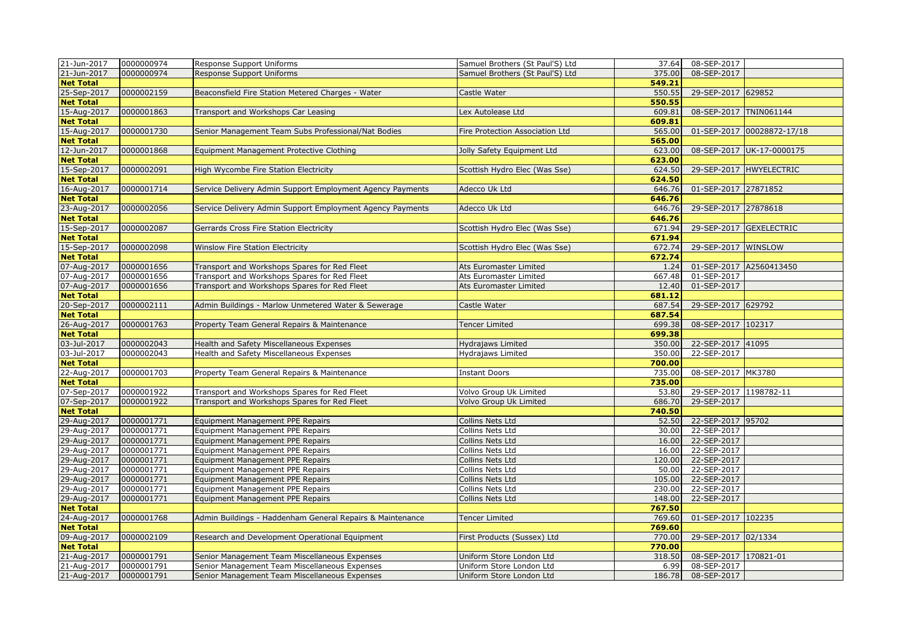| 21-Jun-2017      | 0000000974 | Response Support Uniforms                                 | Samuel Brothers (St Paul'S) Ltd | 37.64  | 08-SEP-2017             |                            |
|------------------|------------|-----------------------------------------------------------|---------------------------------|--------|-------------------------|----------------------------|
| 21-Jun-2017      | 0000000974 | Response Support Uniforms                                 | Samuel Brothers (St Paul'S) Ltd | 375.00 | 08-SEP-2017             |                            |
| <b>Net Total</b> |            |                                                           |                                 | 549.21 |                         |                            |
| 25-Sep-2017      | 0000002159 | Beaconsfield Fire Station Metered Charges - Water         | Castle Water                    | 550.55 | 29-SEP-2017 629852      |                            |
| <b>Net Total</b> |            |                                                           |                                 | 550.55 |                         |                            |
| 15-Aug-2017      | 0000001863 | Transport and Workshops Car Leasing                       | Lex Autolease Ltd               | 609.81 | 08-SEP-2017 TNIN061144  |                            |
| <b>Net Total</b> |            |                                                           |                                 | 609.81 |                         |                            |
| 15-Aug-2017      | 0000001730 | Senior Management Team Subs Professional/Nat Bodies       | Fire Protection Association Ltd | 565.00 |                         | 01-SEP-2017 00028872-17/18 |
| <b>Net Total</b> |            |                                                           |                                 | 565.00 |                         |                            |
| 12-Jun-2017      | 0000001868 | Equipment Management Protective Clothing                  | Jolly Safety Equipment Ltd      | 623.00 |                         | 08-SEP-2017 UK-17-0000175  |
| <b>Net Total</b> |            |                                                           |                                 | 623.00 |                         |                            |
| 15-Sep-2017      | 0000002091 | High Wycombe Fire Station Electricity                     | Scottish Hydro Elec (Was Sse)   | 624.50 |                         | 29-SEP-2017 HWYELECTRIC    |
| <b>Net Total</b> |            |                                                           |                                 | 624.50 |                         |                            |
| 16-Aug-2017      | 0000001714 | Service Delivery Admin Support Employment Agency Payments | Adecco Uk Ltd                   | 646.76 | 01-SEP-2017 27871852    |                            |
| <b>Net Total</b> |            |                                                           |                                 | 646.76 |                         |                            |
| 23-Aug-2017      | 0000002056 | Service Delivery Admin Support Employment Agency Payments | Adecco Uk Ltd                   | 646.76 | 29-SEP-2017 27878618    |                            |
| <b>Net Total</b> |            |                                                           |                                 | 646.76 |                         |                            |
| 15-Sep-2017      | 0000002087 | Gerrards Cross Fire Station Electricity                   | Scottish Hydro Elec (Was Sse)   | 671.94 |                         | 29-SEP-2017 GEXELECTRIC    |
| <b>Net Total</b> |            |                                                           |                                 | 671.94 |                         |                            |
| 15-Sep-2017      | 0000002098 | Winslow Fire Station Electricity                          | Scottish Hydro Elec (Was Sse)   | 672.74 | 29-SEP-2017 WINSLOW     |                            |
| <b>Net Total</b> |            |                                                           |                                 | 672.74 |                         |                            |
| 07-Aug-2017      | 0000001656 | Transport and Workshops Spares for Red Fleet              | Ats Euromaster Limited          | 1.24   | 01-SEP-2017 A2560413450 |                            |
| 07-Aug-2017      | 0000001656 | Transport and Workshops Spares for Red Fleet              | Ats Euromaster Limited          | 667.48 | $01 - SEP - 2017$       |                            |
| 07-Aug-2017      | 0000001656 | Transport and Workshops Spares for Red Fleet              | Ats Euromaster Limited          | 12.40  | 01-SEP-2017             |                            |
| <b>Net Total</b> |            |                                                           |                                 | 681.12 |                         |                            |
| 20-Sep-2017      | 0000002111 | Admin Buildings - Marlow Unmetered Water & Sewerage       | Castle Water                    | 687.54 | 29-SEP-2017 629792      |                            |
| <b>Net Total</b> |            |                                                           |                                 | 687.54 |                         |                            |
| 26-Aug-2017      | 0000001763 | Property Team General Repairs & Maintenance               | Tencer Limited                  | 699.38 | 08-SEP-2017 102317      |                            |
| <b>Net Total</b> |            |                                                           |                                 | 699.38 |                         |                            |
| 03-Jul-2017      | 0000002043 | Health and Safety Miscellaneous Expenses                  | Hydrajaws Limited               | 350.00 | 22-SEP-2017 41095       |                            |
| 03-Jul-2017      | 0000002043 | Health and Safety Miscellaneous Expenses                  | Hydrajaws Limited               | 350.00 | 22-SEP-2017             |                            |
| <b>Net Total</b> |            |                                                           |                                 | 700.00 |                         |                            |
| 22-Aug-2017      | 0000001703 | Property Team General Repairs & Maintenance               | <b>Instant Doors</b>            | 735.00 | 08-SEP-2017 MK3780      |                            |
| <b>Net Total</b> |            |                                                           |                                 | 735.00 |                         |                            |
| 07-Sep-2017      | 0000001922 | Transport and Workshops Spares for Red Fleet              | Volvo Group Uk Limited          | 53.80  | 29-SEP-2017 1198782-11  |                            |
| 07-Sep-2017      | 0000001922 | Transport and Workshops Spares for Red Fleet              | Volvo Group Uk Limited          | 686.70 | 29-SEP-2017             |                            |
| <b>Net Total</b> |            |                                                           |                                 | 740.50 |                         |                            |
| 29-Aug-2017      | 0000001771 | Equipment Management PPE Repairs                          | Collins Nets Ltd                | 52.50  | 22-SEP-2017 95702       |                            |
| 29-Aug-2017      | 0000001771 | Equipment Management PPE Repairs                          | Collins Nets Ltd                | 30.00  | 22-SEP-2017             |                            |
| 29-Aug-2017      | 0000001771 | Equipment Management PPE Repairs                          | Collins Nets Ltd                | 16.00  | 22-SEP-2017             |                            |
| 29-Aug-2017      | 0000001771 | Equipment Management PPE Repairs                          | Collins Nets Ltd                | 16.00  | 22-SEP-2017             |                            |
| 29-Aug-2017      | 0000001771 | Equipment Management PPE Repairs                          | Collins Nets Ltd                | 120.00 | 22-SEP-2017             |                            |
| 29-Aug-2017      | 0000001771 | Equipment Management PPE Repairs                          | Collins Nets Ltd                | 50.00  | 22-SEP-2017             |                            |
| 29-Aug-2017      | 0000001771 | Equipment Management PPE Repairs                          | Collins Nets Ltd                | 105.00 | 22-SEP-2017             |                            |
| 29-Aug-2017      | 0000001771 | Equipment Management PPE Repairs                          | Collins Nets Ltd                | 230.00 | 22-SEP-2017             |                            |
| 29-Aug-2017      | 0000001771 | Equipment Management PPE Repairs                          | Collins Nets Ltd                | 148.00 | 22-SEP-2017             |                            |
| <b>Net Total</b> |            |                                                           |                                 | 767.50 |                         |                            |
| 24-Aug-2017      | 0000001768 | Admin Buildings - Haddenham General Repairs & Maintenance | <b>Tencer Limited</b>           | 769.60 | 01-SEP-2017 102235      |                            |
| <b>Net Total</b> |            |                                                           |                                 | 769.60 |                         |                            |
| 09-Aug-2017      | 0000002109 | Research and Development Operational Equipment            | First Products (Sussex) Ltd     | 770.00 | 29-SEP-2017 02/1334     |                            |
| <b>Net Total</b> |            |                                                           |                                 | 770.00 |                         |                            |
| 21-Aug-2017      | 0000001791 | Senior Management Team Miscellaneous Expenses             | Uniform Store London Ltd        | 318.50 | 08-SEP-2017 170821-01   |                            |
| 21-Aug-2017      | 0000001791 | Senior Management Team Miscellaneous Expenses             | Uniform Store London Ltd        | 6.99   | 08-SEP-2017             |                            |
| 21-Aug-2017      | 0000001791 | Senior Management Team Miscellaneous Expenses             | Uniform Store London Ltd        | 186.78 | 08-SEP-2017             |                            |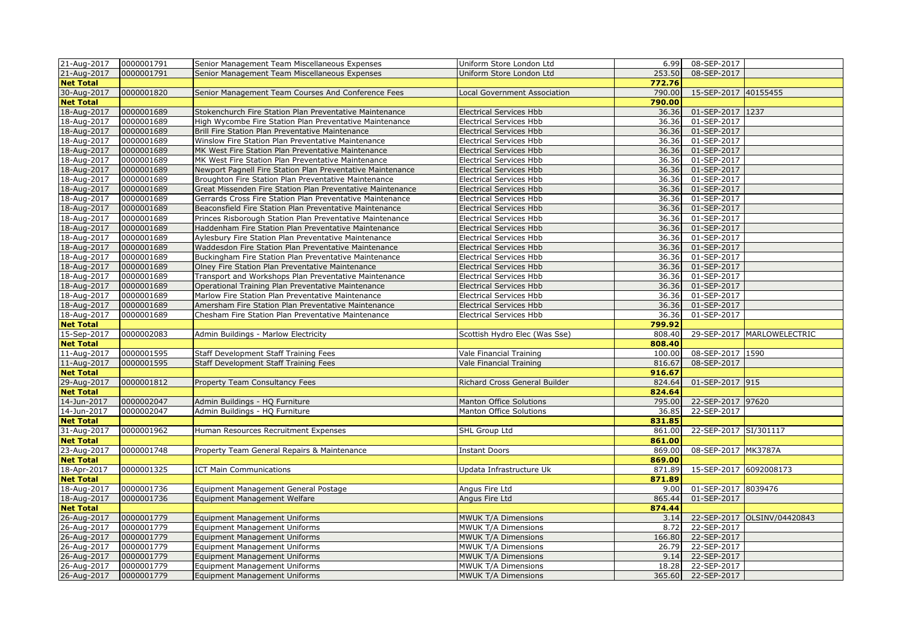| 21-Aug-2017                | 0000001791               | Senior Management Team Miscellaneous Expenses                         | Uniform Store London Ltd                   |                 | 6.99 08-SEP-2017           |                              |
|----------------------------|--------------------------|-----------------------------------------------------------------------|--------------------------------------------|-----------------|----------------------------|------------------------------|
| 21-Aug-2017                | 0000001791               | Senior Management Team Miscellaneous Expenses                         | Uniform Store London Ltd                   | 253.50          | 08-SEP-2017                |                              |
| <b>Net Total</b>           |                          |                                                                       |                                            | 772.76          |                            |                              |
| 30-Aug-2017                | 0000001820               | Senior Management Team Courses And Conference Fees                    | Local Government Association               | 790.00          | 15-SEP-2017 40155455       |                              |
| <b>Net Total</b>           |                          |                                                                       |                                            | 790.00          |                            |                              |
| 18-Aug-2017                | 0000001689               | Stokenchurch Fire Station Plan Preventative Maintenance               | <b>Electrical Services Hbb</b>             | 36.36           | 01-SEP-2017 1237           |                              |
| 18-Aug-2017                | 0000001689               | High Wycombe Fire Station Plan Preventative Maintenance               | <b>Electrical Services Hbb</b>             | 36.36           | 01-SEP-2017                |                              |
| 18-Aug-2017                | 0000001689               | Brill Fire Station Plan Preventative Maintenance                      | <b>Electrical Services Hbb</b>             | 36.36           | 01-SEP-2017                |                              |
| 18-Aug-2017                | 0000001689               | Winslow Fire Station Plan Preventative Maintenance                    | <b>Electrical Services Hbb</b>             | 36.36           | 01-SEP-2017                |                              |
| 18-Aug-2017                | 0000001689               | MK West Fire Station Plan Preventative Maintenance                    | <b>Electrical Services Hbb</b>             | 36.36           | 01-SEP-2017                |                              |
| 18-Aug-2017                | 0000001689               | MK West Fire Station Plan Preventative Maintenance                    | <b>Electrical Services Hbb</b>             | 36.36           | 01-SEP-2017                |                              |
| 18-Aug-2017                | 0000001689               | Newport Pagnell Fire Station Plan Preventative Maintenance            | Electrical Services Hbb                    | 36.36           | 01-SEP-2017                |                              |
| 18-Aug-2017                | 0000001689               | Broughton Fire Station Plan Preventative Maintenance                  | <b>Electrical Services Hbb</b>             | 36.36           | 01-SEP-2017                |                              |
| 18-Aug-2017                | 0000001689               | Great Missenden Fire Station Plan Preventative Maintenance            | <b>Electrical Services Hbb</b>             | 36.36           | 01-SEP-2017                |                              |
| 18-Aug-2017                | 0000001689               | Gerrards Cross Fire Station Plan Preventative Maintenance             | <b>Electrical Services Hbb</b>             | 36.36           | 01-SEP-2017                |                              |
| 18-Aug-2017                | 0000001689               | Beaconsfield Fire Station Plan Preventative Maintenance               | <b>Electrical Services Hbb</b>             | 36.36           | 01-SEP-2017                |                              |
| 18-Aug-2017                | 0000001689               | Princes Risborough Station Plan Preventative Maintenance              | <b>Electrical Services Hbb</b>             | 36.36           | 01-SEP-2017                |                              |
| 18-Aug-2017                | 0000001689               | Haddenham Fire Station Plan Preventative Maintenance                  | <b>Electrical Services Hbb</b>             | 36.36           | 01-SEP-2017                |                              |
| 18-Aug-2017                | 0000001689               | Aylesbury Fire Station Plan Preventative Maintenance                  | <b>Electrical Services Hbb</b>             | 36.36           | 01-SEP-2017                |                              |
| 18-Aug-2017                | 0000001689               | Waddesdon Fire Station Plan Preventative Maintenance                  | <b>Electrical Services Hbb</b>             | 36.36           | 01-SEP-2017                |                              |
| 18-Aug-2017                | 0000001689               | Buckingham Fire Station Plan Preventative Maintenance                 | <b>Electrical Services Hbb</b>             | 36.36           | 01-SEP-2017                |                              |
| 18-Aug-2017                | 0000001689               | Olney Fire Station Plan Preventative Maintenance                      | <b>Electrical Services Hbb</b>             | 36.36           | 01-SEP-2017                |                              |
| 18-Aug-2017                | 0000001689               | Transport and Workshops Plan Preventative Maintenance                 | <b>Electrical Services Hbb</b>             | 36.36           | 01-SEP-2017                |                              |
| 18-Aug-2017                | 0000001689               | Operational Training Plan Preventative Maintenance                    | <b>Electrical Services Hbb</b>             | 36.36           | 01-SEP-2017                |                              |
| 18-Aug-2017                | 0000001689               | Marlow Fire Station Plan Preventative Maintenance                     | Electrical Services Hbb                    | 36.36           | 01-SEP-2017                |                              |
| 18-Aug-2017                | 0000001689               | Amersham Fire Station Plan Preventative Maintenance                   | <b>Electrical Services Hbb</b>             | 36.36           | 01-SEP-2017                |                              |
| 18-Aug-2017                | 0000001689               | Chesham Fire Station Plan Preventative Maintenance                    | <b>Electrical Services Hbb</b>             | 36.36           | 01-SEP-2017                |                              |
|                            |                          |                                                                       |                                            |                 |                            |                              |
| <b>Net Total</b>           |                          |                                                                       |                                            | 799.92          |                            |                              |
| 15-Sep-2017                | 0000002083               | Admin Buildings - Marlow Electricity                                  | Scottish Hydro Elec (Was Sse)              | 808.40          |                            | 29-SEP-2017   MARLOWELECTRIC |
| <b>Net Total</b>           |                          |                                                                       |                                            | 808.40          |                            |                              |
| 11-Aug-2017                | 0000001595               | Staff Development Staff Training Fees                                 | Vale Financial Training                    | 100.00          | 08-SEP-2017 1590           |                              |
| 11-Aug-2017                | 0000001595               | Staff Development Staff Training Fees                                 | Vale Financial Training                    | 816.67          | 08-SEP-2017                |                              |
| <b>Net Total</b>           |                          |                                                                       |                                            | 916.67          |                            |                              |
| 29-Aug-2017                | 0000001812               | Property Team Consultancy Fees                                        | Richard Cross General Builder              | 824.64          | 01-SEP-2017 915            |                              |
| <b>Net Total</b>           |                          |                                                                       |                                            | 824.64          |                            |                              |
| 14-Jun-2017                | 0000002047               | Admin Buildings - HQ Furniture                                        | Manton Office Solutions                    | 795.00          | 22-SEP-2017 97620          |                              |
| 14-Jun-2017                | 0000002047               | Admin Buildings - HQ Furniture                                        | Manton Office Solutions                    | 36.85           | 22-SEP-2017                |                              |
| <b>Net Total</b>           |                          |                                                                       |                                            | 831.85          |                            |                              |
| 31-Aug-2017                | 0000001962               | Human Resources Recruitment Expenses                                  | SHL Group Ltd                              | 861.00          | 22-SEP-2017 SI/301117      |                              |
| <b>Net Total</b>           |                          |                                                                       |                                            | 861.00          |                            |                              |
| 23-Aug-2017                | 0000001748               | Property Team General Repairs & Maintenance                           | <b>Instant Doors</b>                       | 869.00          | 08-SEP-2017 MK3787A        |                              |
| <b>Net Total</b>           |                          |                                                                       |                                            | 869.00          |                            |                              |
| 18-Apr-2017                | 0000001325               | <b>ICT Main Communications</b>                                        | Updata Infrastructure Uk                   | 871.89          | 15-SEP-2017 6092008173     |                              |
| <b>Net Total</b>           |                          |                                                                       |                                            | 871.89          |                            |                              |
| 18-Aug-2017                | 0000001736               | Equipment Management General Postage                                  | Angus Fire Ltd                             | 9.00            | 01-SEP-2017 8039476        |                              |
| 18-Aug-2017                | 0000001736               | Equipment Management Welfare                                          | Angus Fire Ltd                             | 865.44          | 01-SEP-2017                |                              |
| <b>Net Total</b>           |                          |                                                                       |                                            | 874.44          |                            |                              |
| 26-Aug-2017                | 0000001779               | <b>Equipment Management Uniforms</b>                                  | MWUK T/A Dimensions                        | 3.14            |                            | 22-SEP-2017 OLSINV/04420843  |
| 26-Aug-2017                | 0000001779               | Equipment Management Uniforms                                         | MWUK T/A Dimensions                        | 8.72            | 22-SEP-2017                |                              |
| 26-Aug-2017                | 0000001779               | <b>Equipment Management Uniforms</b>                                  | <b>MWUK T/A Dimensions</b>                 | 166.80          | 22-SEP-2017                |                              |
| 26-Aug-2017                | 0000001779               | Equipment Management Uniforms                                         | MWUK T/A Dimensions                        | 26.79           | 22-SEP-2017                |                              |
| 26-Aug-2017                | 0000001779               | Equipment Management Uniforms                                         | MWUK T/A Dimensions                        | 9.14            | 22-SEP-2017                |                              |
| 26-Aug-2017<br>26-Aug-2017 | 0000001779<br>0000001779 | <b>Equipment Management Uniforms</b><br>Equipment Management Uniforms | MWUK T/A Dimensions<br>MWUK T/A Dimensions | 18.28<br>365.60 | 22-SEP-2017<br>22-SEP-2017 |                              |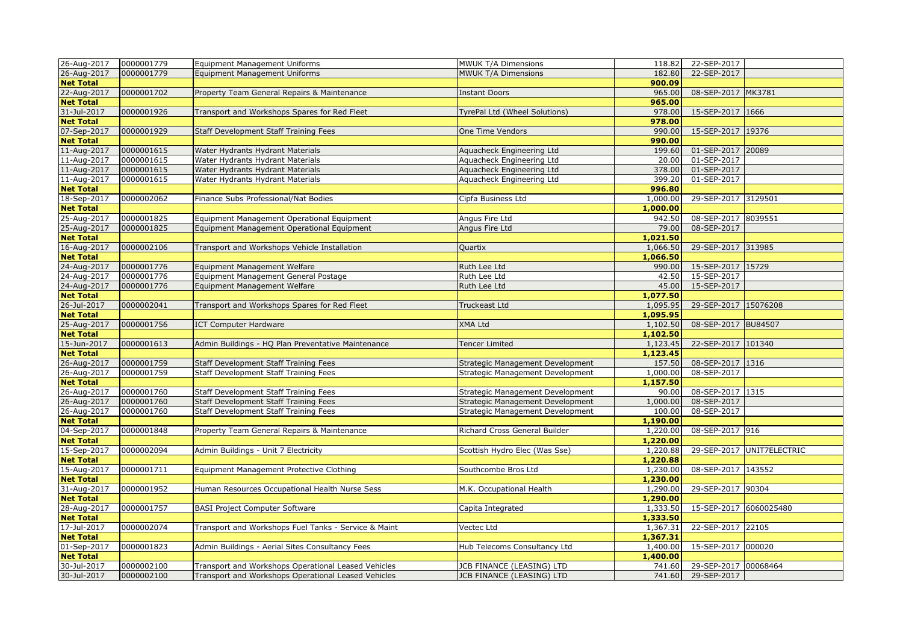| 26-Aug-2017      | 0000001779 | <b>Equipment Management Uniforms</b>                 | MWUK T/A Dimensions              | 118.82   | 22-SEP-2017            |                           |
|------------------|------------|------------------------------------------------------|----------------------------------|----------|------------------------|---------------------------|
| 26-Aug-2017      | 0000001779 | <b>Equipment Management Uniforms</b>                 | MWUK T/A Dimensions              | 182.80   | 22-SEP-2017            |                           |
| <b>Net Total</b> |            |                                                      |                                  | 900.09   |                        |                           |
| 22-Aug-2017      | 0000001702 | Property Team General Repairs & Maintenance          | <b>Instant Doors</b>             | 965.00   | 08-SEP-2017 MK3781     |                           |
| <b>Net Total</b> |            |                                                      |                                  | 965.00   |                        |                           |
| 31-Jul-2017      | 0000001926 | Transport and Workshops Spares for Red Fleet         | TyrePal Ltd (Wheel Solutions)    | 978.00   | 15-SEP-2017 1666       |                           |
| <b>Net Total</b> |            |                                                      |                                  | 978.00   |                        |                           |
| 07-Sep-2017      | 0000001929 | <b>Staff Development Staff Training Fees</b>         | One Time Vendors                 | 990.00   | 15-SEP-2017 19376      |                           |
| <b>Net Total</b> |            |                                                      |                                  | 990.00   |                        |                           |
| 11-Aug-2017      | 0000001615 | Water Hydrants Hydrant Materials                     | Aquacheck Engineering Ltd        | 199.60   | 01-SEP-2017 20089      |                           |
| 11-Aug-2017      | 0000001615 | Water Hydrants Hydrant Materials                     | Aquacheck Engineering Ltd        | 20.00    | 01-SEP-2017            |                           |
| 11-Aug-2017      | 0000001615 | Water Hydrants Hydrant Materials                     | Aquacheck Engineering Ltd        | 378.00   | 01-SEP-2017            |                           |
| 11-Aug-2017      | 0000001615 | Water Hydrants Hydrant Materials                     | Aquacheck Engineering Ltd        | 399.20   | 01-SEP-2017            |                           |
| <b>Net Total</b> |            |                                                      |                                  | 996.80   |                        |                           |
| 18-Sep-2017      | 0000002062 | Finance Subs Professional/Nat Bodies                 | Cipfa Business Ltd               | 1,000.00 | 29-SEP-2017 3129501    |                           |
| <b>Net Total</b> |            |                                                      |                                  | 1,000.00 |                        |                           |
| 25-Aug-2017      | 0000001825 | Equipment Management Operational Equipment           | Angus Fire Ltd                   | 942.50   | 08-SEP-2017 8039551    |                           |
| 25-Aug-2017      | 0000001825 | Equipment Management Operational Equipment           | Angus Fire Ltd                   | 79.00    | 08-SEP-2017            |                           |
| <b>Net Total</b> |            |                                                      |                                  | 1,021.50 |                        |                           |
| 16-Aug-2017      | 0000002106 | Transport and Workshops Vehicle Installation         | Quartix                          | 1,066.50 | 29-SEP-2017 313985     |                           |
| <b>Net Total</b> |            |                                                      |                                  | 1,066.50 |                        |                           |
| 24-Aug-2017      | 0000001776 | Equipment Management Welfare                         | Ruth Lee Ltd                     | 990.00   | 15-SEP-2017 15729      |                           |
| 24-Aug-2017      | 0000001776 | Equipment Management General Postage                 | Ruth Lee Ltd                     | 42.50    | 15-SEP-2017            |                           |
| 24-Aug-2017      | 0000001776 | Equipment Management Welfare                         | Ruth Lee Ltd                     | 45.00    | 15-SEP-2017            |                           |
| <b>Net Total</b> |            |                                                      |                                  | 1,077.50 |                        |                           |
| 26-Jul-2017      | 0000002041 | Transport and Workshops Spares for Red Fleet         | Truckeast Ltd                    | 1,095.95 | 29-SEP-2017 15076208   |                           |
| <b>Net Total</b> |            |                                                      |                                  | 1,095.95 |                        |                           |
| 25-Aug-2017      | 0000001756 | <b>ICT Computer Hardware</b>                         | <b>XMA Ltd</b>                   | 1,102.50 | 08-SEP-2017 BU84507    |                           |
| <b>Net Total</b> |            |                                                      |                                  | 1,102.50 |                        |                           |
| 15-Jun-2017      | 0000001613 | Admin Buildings - HQ Plan Preventative Maintenance   | <b>Tencer Limited</b>            | 1,123.45 | 22-SEP-2017 101340     |                           |
| <b>Net Total</b> |            |                                                      |                                  | 1,123.45 |                        |                           |
| 26-Aug-2017      | 0000001759 | Staff Development Staff Training Fees                | Strategic Management Development | 157.50   | 08-SEP-2017 1316       |                           |
| 26-Aug-2017      | 0000001759 | Staff Development Staff Training Fees                | Strategic Management Development | 1,000.00 | 08-SEP-2017            |                           |
| <b>Net Total</b> |            |                                                      |                                  | 1,157.50 |                        |                           |
| 26-Aug-2017      | 0000001760 | Staff Development Staff Training Fees                | Strategic Management Development | 90.00    | 08-SEP-2017 1315       |                           |
| 26-Aug-2017      | 0000001760 | Staff Development Staff Training Fees                | Strategic Management Development | 1,000.00 | 08-SEP-2017            |                           |
| 26-Aug-2017      | 0000001760 | Staff Development Staff Training Fees                | Strategic Management Development | 100.00   | 08-SEP-2017            |                           |
| <b>Net Total</b> |            |                                                      |                                  | 1,190.00 |                        |                           |
| 04-Sep-2017      | 0000001848 | Property Team General Repairs & Maintenance          | Richard Cross General Builder    | 1,220.00 | 08-SEP-2017 916        |                           |
| <b>Net Total</b> |            |                                                      |                                  | 1,220.00 |                        |                           |
| 15-Sep-2017      | 0000002094 | Admin Buildings - Unit 7 Electricity                 | Scottish Hydro Elec (Was Sse)    | 1,220.88 |                        | 29-SEP-2017 UNIT7ELECTRIC |
| <b>Net Total</b> |            |                                                      |                                  | 1,220.88 |                        |                           |
| 15-Aug-2017      | 0000001711 | Equipment Management Protective Clothing             | Southcombe Bros Ltd              | 1,230.00 | 08-SEP-2017 143552     |                           |
| <b>Net Total</b> |            |                                                      |                                  | 1,230.00 |                        |                           |
| 31-Aug-2017      | 0000001952 | Human Resources Occupational Health Nurse Sess       | M.K. Occupational Health         | 1,290.00 | 29-SEP-2017 90304      |                           |
| <b>Net Total</b> |            |                                                      |                                  | 1,290.00 |                        |                           |
| 28-Aug-2017      | 0000001757 | <b>BASI Project Computer Software</b>                | Capita Integrated                | 1,333.50 | 15-SEP-2017 6060025480 |                           |
| <b>Net Total</b> |            |                                                      |                                  | 1,333.50 |                        |                           |
| 17-Jul-2017      | 0000002074 | Transport and Workshops Fuel Tanks - Service & Maint | Vectec Ltd                       | 1,367.31 | 22-SEP-2017 22105      |                           |
| <b>Net Total</b> |            |                                                      |                                  | 1,367.31 |                        |                           |
| 01-Sep-2017      | 0000001823 | Admin Buildings - Aerial Sites Consultancy Fees      | Hub Telecoms Consultancy Ltd     | 1,400.00 | 15-SEP-2017 000020     |                           |
| <b>Net Total</b> |            |                                                      |                                  | 1,400.00 |                        |                           |
| 30-Jul-2017      | 0000002100 | Transport and Workshops Operational Leased Vehicles  | JCB FINANCE (LEASING) LTD        | 741.60   | 29-SEP-2017 00068464   |                           |
| 30-Jul-2017      | 0000002100 | Transport and Workshops Operational Leased Vehicles  | JCB FINANCE (LEASING) LTD        | 741.60   | 29-SEP-2017            |                           |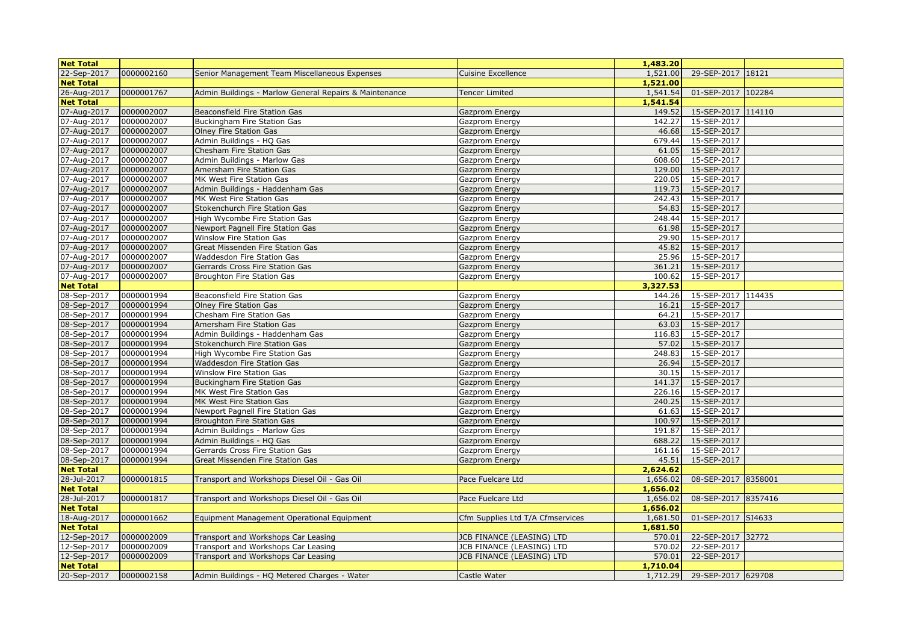| <b>Net Total</b> |            |                                                        |                                  | 1,483.20 |                     |  |
|------------------|------------|--------------------------------------------------------|----------------------------------|----------|---------------------|--|
| 22-Sep-2017      | 0000002160 | Senior Management Team Miscellaneous Expenses          | <b>Cuisine Excellence</b>        | 1,521.00 | 29-SEP-2017 18121   |  |
| <b>Net Total</b> |            |                                                        |                                  | 1,521,00 |                     |  |
| 26-Aug-2017      | 0000001767 | Admin Buildings - Marlow General Repairs & Maintenance | <b>Tencer Limited</b>            | 1,541.54 | 01-SEP-2017 102284  |  |
| <b>Net Total</b> |            |                                                        |                                  | 1,541.54 |                     |  |
| 07-Aug-2017      | 0000002007 | Beaconsfield Fire Station Gas                          | Gazprom Energy                   | 149.52   | 15-SEP-2017 114110  |  |
| 07-Aug-2017      | 0000002007 | Buckingham Fire Station Gas                            | Gazprom Energy                   | 142.27   | 15-SEP-2017         |  |
| 07-Aug-2017      | 0000002007 | Olney Fire Station Gas                                 | Gazprom Energy                   | 46.68    | 15-SEP-2017         |  |
| 07-Aug-2017      | 0000002007 | Admin Buildings - HQ Gas                               | Gazprom Energy                   | 679.44   | 15-SEP-2017         |  |
| 07-Aug-2017      | 0000002007 | Chesham Fire Station Gas                               | Gazprom Energy                   | 61.05    | 15-SEP-2017         |  |
| 07-Aug-2017      | 0000002007 | Admin Buildings - Marlow Gas                           | Gazprom Energy                   | 608.60   | 15-SEP-2017         |  |
| 07-Aug-2017      | 0000002007 | Amersham Fire Station Gas                              | Gazprom Energy                   | 129.00   | 15-SEP-2017         |  |
| 07-Aug-2017      | 0000002007 | MK West Fire Station Gas                               | Gazprom Energy                   | 220.05   | 15-SEP-2017         |  |
| 07-Aug-2017      | 0000002007 | Admin Buildings - Haddenham Gas                        | Gazprom Energy                   | 119.73   | 15-SEP-2017         |  |
| 07-Aug-2017      | 0000002007 | MK West Fire Station Gas                               | Gazprom Energy                   | 242.43   | 15-SEP-2017         |  |
| 07-Aug-2017      | 0000002007 | Stokenchurch Fire Station Gas                          | Gazprom Energy                   | 54.83    | 15-SEP-2017         |  |
| 07-Aug-2017      | 0000002007 | High Wycombe Fire Station Gas                          | Gazprom Energy                   | 248.44   | 15-SEP-2017         |  |
| 07-Aug-2017      | 0000002007 | Newport Pagnell Fire Station Gas                       | Gazprom Energy                   | 61.98    | 15-SEP-2017         |  |
| 07-Aug-2017      | 0000002007 | Winslow Fire Station Gas                               | Gazprom Energy                   | 29.90    | 15-SEP-2017         |  |
| 07-Aug-2017      | 0000002007 | Great Missenden Fire Station Gas                       | Gazprom Energy                   | 45.82    | 15-SEP-2017         |  |
| 07-Aug-2017      | 0000002007 | Waddesdon Fire Station Gas                             | Gazprom Energy                   |          | 25.96 15-SEP-2017   |  |
| 07-Aug-2017      | 0000002007 | Gerrards Cross Fire Station Gas                        | Gazprom Energy                   | 361.21   | 15-SEP-2017         |  |
| 07-Aug-2017      | 0000002007 | Broughton Fire Station Gas                             | Gazprom Energy                   | 100.62   | 15-SEP-2017         |  |
| <b>Net Total</b> |            |                                                        |                                  | 3,327.53 |                     |  |
| 08-Sep-2017      | 0000001994 | Beaconsfield Fire Station Gas                          | Gazprom Energy                   | 144.26   | 15-SEP-2017 114435  |  |
| 08-Sep-2017      | 0000001994 | <b>Olney Fire Station Gas</b>                          | Gazprom Energy                   | 16.21    | 15-SEP-2017         |  |
| 08-Sep-2017      | 0000001994 | Chesham Fire Station Gas                               | Gazprom Energy                   | 64.21    | 15-SEP-2017         |  |
| 08-Sep-2017      | 0000001994 | Amersham Fire Station Gas                              | Gazprom Energy                   | 63.03    | 15-SEP-2017         |  |
| 08-Sep-2017      | 0000001994 | Admin Buildings - Haddenham Gas                        | Gazprom Energy                   | 116.83   | 15-SEP-2017         |  |
| 08-Sep-2017      | 0000001994 | Stokenchurch Fire Station Gas                          | Gazprom Energy                   | 57.02    | 15-SEP-2017         |  |
| 08-Sep-2017      | 0000001994 | High Wycombe Fire Station Gas                          | Gazprom Energy                   | 248.83   | 15-SEP-2017         |  |
| 08-Sep-2017      | 0000001994 | Waddesdon Fire Station Gas                             | Gazprom Energy                   | 26.94    | 15-SEP-2017         |  |
| 08-Sep-2017      | 0000001994 | Winslow Fire Station Gas                               | Gazprom Energy                   | 30.15    | 15-SEP-2017         |  |
| 08-Sep-2017      | 0000001994 | Buckingham Fire Station Gas                            | Gazprom Energy                   | 141.37   | 15-SEP-2017         |  |
| 08-Sep-2017      | 0000001994 | MK West Fire Station Gas                               | Gazprom Energy                   | 226.16   | 15-SEP-2017         |  |
| 08-Sep-2017      | 0000001994 | MK West Fire Station Gas                               | Gazprom Energy                   | 240.25   | 15-SEP-2017         |  |
| 08-Sep-2017      | 0000001994 | Newport Pagnell Fire Station Gas                       | Gazprom Energy                   | 61.63    | 15-SEP-2017         |  |
| 08-Sep-2017      | 0000001994 | Broughton Fire Station Gas                             | Gazprom Energy                   | 100.97   | 15-SEP-2017         |  |
| 08-Sep-2017      | 0000001994 | Admin Buildings - Marlow Gas                           | Gazprom Energy                   | 191.87   | 15-SEP-2017         |  |
| 08-Sep-2017      | 0000001994 | Admin Buildings - HQ Gas                               | Gazprom Energy                   | 688.22   | 15-SEP-2017         |  |
| 08-Sep-2017      | 0000001994 | Gerrards Cross Fire Station Gas                        | Gazprom Energy                   | 161.16   | 15-SEP-2017         |  |
| 08-Sep-2017      | 0000001994 | Great Missenden Fire Station Gas                       | Gazprom Energy                   | 45.51    | 15-SEP-2017         |  |
| <b>Net Total</b> |            |                                                        |                                  | 2,624.62 |                     |  |
| 28-Jul-2017      | 0000001815 | Transport and Workshops Diesel Oil - Gas Oil           | Pace Fuelcare Ltd                | 1,656.02 | 08-SEP-2017 8358001 |  |
| <b>Net Total</b> |            |                                                        |                                  | 1,656.02 |                     |  |
| 28-Jul-2017      | 0000001817 | Transport and Workshops Diesel Oil - Gas Oil           | Pace Fuelcare Ltd                | 1,656.02 | 08-SEP-2017 8357416 |  |
| <b>Net Total</b> |            |                                                        |                                  | 1,656.02 |                     |  |
| 18-Aug-2017      | 0000001662 | Equipment Management Operational Equipment             | Cfm Supplies Ltd T/A Cfmservices | 1,681.50 | 01-SEP-2017 SI4633  |  |
| <b>Net Total</b> |            |                                                        |                                  | 1,681.50 |                     |  |
| 12-Sep-2017      | 0000002009 | Transport and Workshops Car Leasing                    | JCB FINANCE (LEASING) LTD        | 570.01   | 22-SEP-2017 32772   |  |
| 12-Sep-2017      | 0000002009 | Transport and Workshops Car Leasing                    | JCB FINANCE (LEASING) LTD        | 570.02   | 22-SEP-2017         |  |
| 12-Sep-2017      | 0000002009 | Transport and Workshops Car Leasing                    | <b>JCB FINANCE (LEASING) LTD</b> | 570.01   | 22-SEP-2017         |  |
| <b>Net Total</b> |            |                                                        |                                  | 1,710.04 |                     |  |
| 20-Sep-2017      | 0000002158 | Admin Buildings - HQ Metered Charges - Water           | Castle Water                     | 1,712.29 | 29-SEP-2017 629708  |  |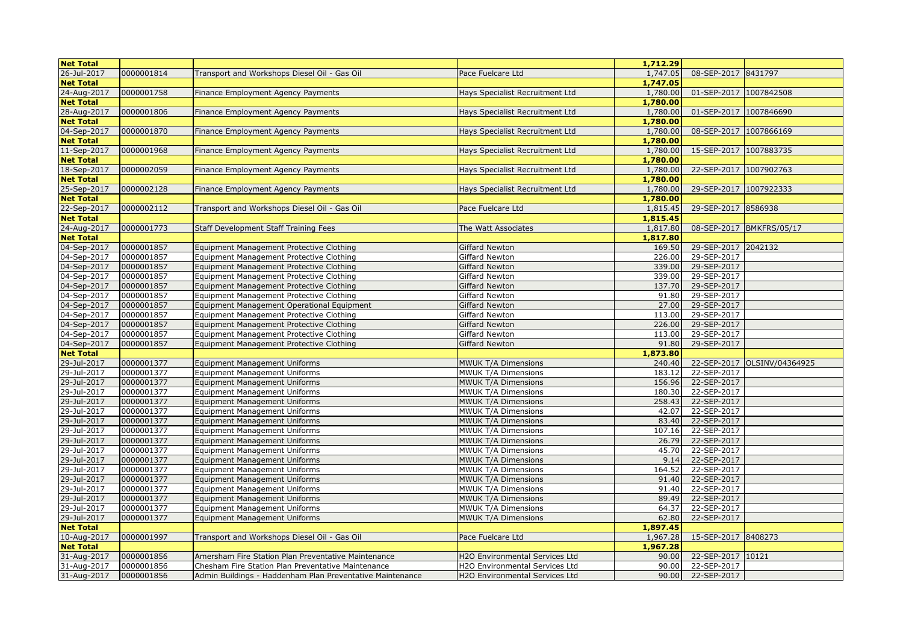| <b>Net Total</b>           |                          |                                                                                                           |                                                                  | 1,712.29          |                        |                             |
|----------------------------|--------------------------|-----------------------------------------------------------------------------------------------------------|------------------------------------------------------------------|-------------------|------------------------|-----------------------------|
| 26-Jul-2017                | 0000001814               | Transport and Workshops Diesel Oil - Gas Oil                                                              | Pace Fuelcare Ltd                                                | 1,747.05          | 08-SEP-2017 8431797    |                             |
| <b>Net Total</b>           |                          |                                                                                                           |                                                                  | 1,747.05          |                        |                             |
| 24-Aug-2017                | 0000001758               | Finance Employment Agency Payments                                                                        | Hays Specialist Recruitment Ltd                                  | 1,780.00          | 01-SEP-2017 1007842508 |                             |
| <b>Net Total</b>           |                          |                                                                                                           |                                                                  | 1,780.00          |                        |                             |
| 28-Aug-2017                | 0000001806               | Finance Employment Agency Payments                                                                        | Hays Specialist Recruitment Ltd                                  | 1,780.00          | 01-SEP-2017 1007846690 |                             |
| <b>Net Total</b>           |                          |                                                                                                           |                                                                  | 1,780.00          |                        |                             |
| 04-Sep-2017                | 0000001870               | Finance Employment Agency Payments                                                                        | Hays Specialist Recruitment Ltd                                  | 1,780.00          | 08-SEP-2017 1007866169 |                             |
| <b>Net Total</b>           |                          |                                                                                                           |                                                                  | 1,780.00          |                        |                             |
| 11-Sep-2017                | 0000001968               | Finance Employment Agency Payments                                                                        | Hays Specialist Recruitment Ltd                                  | 1,780.00          | 15-SEP-2017 1007883735 |                             |
| <b>Net Total</b>           |                          |                                                                                                           |                                                                  | 1,780.00          |                        |                             |
| 18-Sep-2017                | 0000002059               | Finance Employment Agency Payments                                                                        | Hays Specialist Recruitment Ltd                                  | 1,780.00          | 22-SEP-2017 1007902763 |                             |
| <b>Net Total</b>           |                          |                                                                                                           |                                                                  | 1,780.00          |                        |                             |
| 25-Sep-2017                | 0000002128               | Finance Employment Agency Payments                                                                        | Hays Specialist Recruitment Ltd                                  | 1,780.00          | 29-SEP-2017 1007922333 |                             |
| <b>Net Total</b>           |                          |                                                                                                           |                                                                  | 1,780.00          |                        |                             |
| 22-Sep-2017                | 0000002112               | Transport and Workshops Diesel Oil - Gas Oil                                                              | Pace Fuelcare Ltd                                                | 1,815.45          | 29-SEP-2017 8586938    |                             |
| <b>Net Total</b>           |                          |                                                                                                           |                                                                  | 1,815.45          |                        |                             |
| 24-Aug-2017                | 0000001773               | Staff Development Staff Training Fees                                                                     | The Watt Associates                                              | 1,817.80          |                        | 08-SEP-2017 BMKFRS/05/17    |
| <b>Net Total</b>           |                          |                                                                                                           |                                                                  | 1,817.80          |                        |                             |
| 04-Sep-2017                | 0000001857               | Equipment Management Protective Clothing                                                                  | Giffard Newton                                                   | 169.50            | 29-SEP-2017 2042132    |                             |
| 04-Sep-2017                | 0000001857               | Equipment Management Protective Clothing                                                                  | Giffard Newton                                                   | 226.00            | 29-SEP-2017            |                             |
| 04-Sep-2017                | 0000001857               | Equipment Management Protective Clothing                                                                  | Giffard Newton                                                   | 339.00            | 29-SEP-2017            |                             |
| 04-Sep-2017                | 0000001857               | Equipment Management Protective Clothing                                                                  | Giffard Newton                                                   | 339.00            | 29-SEP-2017            |                             |
| 04-Sep-2017                | 0000001857               | Equipment Management Protective Clothing                                                                  | Giffard Newton                                                   | 137.70            | 29-SEP-2017            |                             |
| 04-Sep-2017                | 0000001857               | Equipment Management Protective Clothing                                                                  | Giffard Newton                                                   | 91.80             | 29-SEP-2017            |                             |
| 04-Sep-2017                | 0000001857               | Equipment Management Operational Equipment                                                                | Giffard Newton                                                   | 27.00             | 29-SEP-2017            |                             |
| 04-Sep-2017                | 0000001857               | Equipment Management Protective Clothing                                                                  | Giffard Newton                                                   | 113.00            | 29-SEP-2017            |                             |
| 04-Sep-2017                | 0000001857               | Equipment Management Protective Clothing                                                                  | Giffard Newton                                                   | 226.00            | 29-SEP-2017            |                             |
| 04-Sep-2017                | 0000001857               | Equipment Management Protective Clothing                                                                  | Giffard Newton                                                   | 113.00            | 29-SEP-2017            |                             |
| 04-Sep-2017                | 0000001857               | Equipment Management Protective Clothing                                                                  | Giffard Newton                                                   | 91.80             | 29-SEP-2017            |                             |
| <b>Net Total</b>           |                          |                                                                                                           |                                                                  | 1,873.80          |                        |                             |
| 29-Jul-2017                | 0000001377               | Equipment Management Uniforms                                                                             | MWUK T/A Dimensions                                              | 240.40            |                        | 22-SEP-2017 OLSINV/04364925 |
| 29-Jul-2017                | 0000001377               | <b>Equipment Management Uniforms</b>                                                                      | MWUK T/A Dimensions                                              | 183.12            | 22-SEP-2017            |                             |
| 29-Jul-2017                | 0000001377               | Equipment Management Uniforms                                                                             | MWUK T/A Dimensions                                              | 156.96            | 22-SEP-2017            |                             |
| 29-Jul-2017                | 0000001377               | Equipment Management Uniforms                                                                             | MWUK T/A Dimensions                                              | 180.30            | 22-SEP-2017            |                             |
| 29-Jul-2017                | 0000001377               | Equipment Management Uniforms                                                                             | MWUK T/A Dimensions                                              | 258.43            | 22-SEP-2017            |                             |
| 29-Jul-2017                | 0000001377               | Equipment Management Uniforms                                                                             | MWUK T/A Dimensions                                              | 42.07             | 22-SEP-2017            |                             |
| 29-Jul-2017                | 0000001377               | <b>Equipment Management Uniforms</b>                                                                      | MWUK T/A Dimensions                                              | 83.40             | 22-SEP-2017            |                             |
| 29-Jul-2017                | 0000001377               | <b>Equipment Management Uniforms</b>                                                                      | MWUK T/A Dimensions                                              | 107.16            | 22-SEP-2017            |                             |
| 29-Jul-2017                | 0000001377               | Equipment Management Uniforms                                                                             | MWUK T/A Dimensions                                              | 26.79             | 22-SEP-2017            |                             |
| 29-Jul-2017                | 0000001377               | <b>Equipment Management Uniforms</b>                                                                      | MWUK T/A Dimensions                                              | 45.70             | 22-SEP-2017            |                             |
| 29-Jul-2017                | 0000001377               | Equipment Management Uniforms                                                                             | MWUK T/A Dimensions                                              | 9.14              | 22-SEP-2017            |                             |
| 29-Jul-2017                | 0000001377               | <b>Equipment Management Uniforms</b>                                                                      | MWUK T/A Dimensions                                              | 164.52            | 22-SEP-2017            |                             |
| 29-Jul-2017                | 0000001377               | <b>Equipment Management Uniforms</b>                                                                      | MWUK T/A Dimensions                                              | 91.40             | 22-SEP-2017            |                             |
| 29-Jul-2017                | 0000001377               | <b>Equipment Management Uniforms</b>                                                                      | MWUK T/A Dimensions                                              | 91.40             | 22-SEP-2017            |                             |
| 29-Jul-2017                | 0000001377               | <b>Equipment Management Uniforms</b>                                                                      | MWUK T/A Dimensions                                              | 89.49             | 22-SEP-2017            |                             |
| 29-Jul-2017                | 0000001377               | <b>Equipment Management Uniforms</b>                                                                      | MWUK T/A Dimensions                                              | 64.37             | 22-SEP-2017            |                             |
| 29-Jul-2017                | 0000001377               | Equipment Management Uniforms                                                                             | MWUK T/A Dimensions                                              | 62.80             | 22-SEP-2017            |                             |
| <b>Net Total</b>           |                          |                                                                                                           |                                                                  | 1,897.45          |                        |                             |
| 10-Aug-2017                | 0000001997               | Transport and Workshops Diesel Oil - Gas Oil                                                              | Pace Fuelcare Ltd                                                | 1,967.28          | 15-SEP-2017 8408273    |                             |
| <b>Net Total</b>           |                          |                                                                                                           |                                                                  | 1,967.28<br>90.00 | 22-SEP-2017 10121      |                             |
| 31-Aug-2017<br>31-Aug-2017 | 0000001856<br>0000001856 | Amersham Fire Station Plan Preventative Maintenance<br>Chesham Fire Station Plan Preventative Maintenance | H2O Environmental Services Ltd<br>H2O Environmental Services Ltd | 90.00             | 22-SEP-2017            |                             |
| 31-Aug-2017                | 0000001856               | Admin Buildings - Haddenham Plan Preventative Maintenance                                                 | H2O Environmental Services Ltd                                   | 90.00             | 22-SEP-2017            |                             |
|                            |                          |                                                                                                           |                                                                  |                   |                        |                             |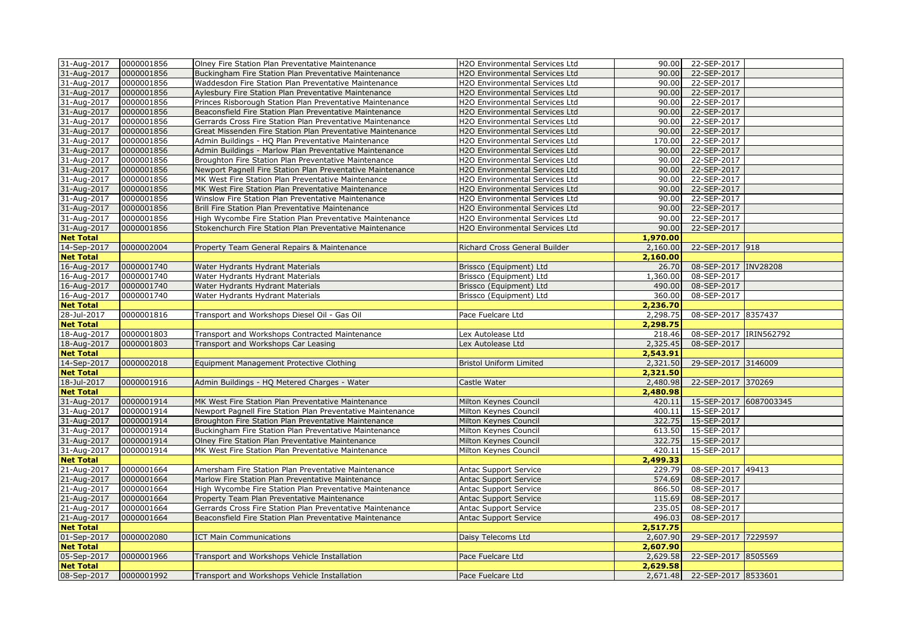| 31-Aug-2017   0000001856 |            | Olney Fire Station Plan Preventative Maintenance           | H2O Environmental Services Ltd |          | 90.00 22-SEP-2017      |  |
|--------------------------|------------|------------------------------------------------------------|--------------------------------|----------|------------------------|--|
| 31-Aug-2017              | 0000001856 | Buckingham Fire Station Plan Preventative Maintenance      | H2O Environmental Services Ltd | 90.00    | 22-SEP-2017            |  |
| 31-Aug-2017              | 0000001856 | Waddesdon Fire Station Plan Preventative Maintenance       | H2O Environmental Services Ltd | 90.00    | 22-SEP-2017            |  |
| 31-Aug-2017              | 0000001856 | Aylesbury Fire Station Plan Preventative Maintenance       | H2O Environmental Services Ltd | 90.00    | 22-SEP-2017            |  |
| 31-Aug-2017              | 0000001856 | Princes Risborough Station Plan Preventative Maintenance   | H2O Environmental Services Ltd | 90.00    | 22-SEP-2017            |  |
| 31-Aug-2017              | 0000001856 | Beaconsfield Fire Station Plan Preventative Maintenance    | H2O Environmental Services Ltd | 90.00    | 22-SEP-2017            |  |
| 31-Aug-2017              | 0000001856 | Gerrards Cross Fire Station Plan Preventative Maintenance  | H2O Environmental Services Ltd | 90.00    | 22-SEP-2017            |  |
| 31-Aug-2017              | 0000001856 | Great Missenden Fire Station Plan Preventative Maintenance | H2O Environmental Services Ltd | 90.00    | 22-SEP-2017            |  |
| 31-Aug-2017              | 0000001856 | Admin Buildings - HQ Plan Preventative Maintenance         | H2O Environmental Services Ltd | 170.00   | 22-SEP-2017            |  |
| 31-Aug-2017              | 0000001856 | Admin Buildings - Marlow Plan Preventative Maintenance     | H2O Environmental Services Ltd | 90.00    | 22-SEP-2017            |  |
| 31-Aug-2017              | 0000001856 | Broughton Fire Station Plan Preventative Maintenance       | H2O Environmental Services Ltd | 90.00    | 22-SEP-2017            |  |
| 31-Aug-2017              | 0000001856 | Newport Pagnell Fire Station Plan Preventative Maintenance | H2O Environmental Services Ltd | 90.00    | 22-SEP-2017            |  |
| 31-Aug-2017              | 0000001856 | MK West Fire Station Plan Preventative Maintenance         | H2O Environmental Services Ltd | 90.00    | 22-SEP-2017            |  |
| 31-Aug-2017              | 0000001856 | MK West Fire Station Plan Preventative Maintenance         | H2O Environmental Services Ltd | 90.00    | 22-SEP-2017            |  |
| 31-Aug-2017              | 0000001856 | Winslow Fire Station Plan Preventative Maintenance         | H2O Environmental Services Ltd | 90.00    | 22-SEP-2017            |  |
| 31-Aug-2017              | 0000001856 | Brill Fire Station Plan Preventative Maintenance           | H2O Environmental Services Ltd | 90.00    | 22-SEP-2017            |  |
| 31-Aug-2017              | 0000001856 | High Wycombe Fire Station Plan Preventative Maintenance    | H2O Environmental Services Ltd | 90.00    | 22-SEP-2017            |  |
| 31-Aug-2017              | 0000001856 | Stokenchurch Fire Station Plan Preventative Maintenance    | H2O Environmental Services Ltd | 90.00    | 22-SEP-2017            |  |
| <b>Net Total</b>         |            |                                                            |                                | 1,970.00 |                        |  |
| 14-Sep-2017              | 0000002004 | Property Team General Repairs & Maintenance                | Richard Cross General Builder  | 2,160.00 | 22-SEP-2017 918        |  |
| <b>Net Total</b>         |            |                                                            |                                | 2,160.00 |                        |  |
| 16-Aug-2017              | 0000001740 | Water Hydrants Hydrant Materials                           | Brissco (Equipment) Ltd        | 26.70    | 08-SEP-2017 INV28208   |  |
| 16-Aug-2017              | 0000001740 | Water Hydrants Hydrant Materials                           | Brissco (Equipment) Ltd        | 1,360.00 | 08-SEP-2017            |  |
| 16-Aug-2017              | 0000001740 | Water Hydrants Hydrant Materials                           | Brissco (Equipment) Ltd        | 490.00   | 08-SEP-2017            |  |
| 16-Aug-2017              | 0000001740 | Water Hydrants Hydrant Materials                           | Brissco (Equipment) Ltd        | 360.00   | 08-SEP-2017            |  |
| <b>Net Total</b>         |            |                                                            |                                | 2,236.70 |                        |  |
| 28-Jul-2017              | 0000001816 | Transport and Workshops Diesel Oil - Gas Oil               | Pace Fuelcare Ltd              | 2,298.75 | 08-SEP-2017 8357437    |  |
| <b>Net Total</b>         |            |                                                            |                                | 2,298.75 |                        |  |
| 18-Aug-2017              | 0000001803 | Transport and Workshops Contracted Maintenance             | Lex Autolease Ltd              | 218.46   | 08-SEP-2017 IRIN562792 |  |
| 18-Aug-2017              | 0000001803 | Transport and Workshops Car Leasing                        | Lex Autolease Ltd              | 2,325.45 | 08-SEP-2017            |  |
| <b>Net Total</b>         |            |                                                            |                                | 2,543.91 |                        |  |
| 14-Sep-2017              | 0000002018 | Equipment Management Protective Clothing                   | <b>Bristol Uniform Limited</b> | 2,321.50 | 29-SEP-2017 3146009    |  |
| <b>Net Total</b>         |            |                                                            |                                | 2,321.50 |                        |  |
| 18-Jul-2017              | 0000001916 | Admin Buildings - HQ Metered Charges - Water               | Castle Water                   | 2,480.98 | 22-SEP-2017 370269     |  |
| <b>Net Total</b>         |            |                                                            |                                | 2,480.98 |                        |  |
| 31-Aug-2017              | 0000001914 | MK West Fire Station Plan Preventative Maintenance         | Milton Keynes Council          | 420.11   | 15-SEP-2017 6087003345 |  |
| 31-Aug-2017              | 0000001914 | Newport Pagnell Fire Station Plan Preventative Maintenance | Milton Keynes Council          | 400.11   | 15-SEP-2017            |  |
| 31-Aug-2017              | 0000001914 | Broughton Fire Station Plan Preventative Maintenance       | Milton Keynes Council          | 322.75   | 15-SEP-2017            |  |
| 31-Aug-2017              | 0000001914 | Buckingham Fire Station Plan Preventative Maintenance      | Milton Keynes Council          | 613.50   | 15-SEP-2017            |  |
| 31-Aug-2017              | 0000001914 | Olney Fire Station Plan Preventative Maintenance           | Milton Keynes Council          | 322.75   | 15-SEP-2017            |  |
| 31-Aug-2017              | 0000001914 | MK West Fire Station Plan Preventative Maintenance         | Milton Keynes Council          | 420.11   | 15-SEP-2017            |  |
| <b>Net Total</b>         |            |                                                            |                                | 2,499.33 |                        |  |
| 21-Aug-2017              | 0000001664 | Amersham Fire Station Plan Preventative Maintenance        | Antac Support Service          | 229.79   | 08-SEP-2017 49413      |  |
| 21-Aug-2017              | 0000001664 | Marlow Fire Station Plan Preventative Maintenance          | Antac Support Service          | 574.69   | 08-SEP-2017            |  |
| 21-Aug-2017              | 0000001664 | High Wycombe Fire Station Plan Preventative Maintenance    | <b>Antac Support Service</b>   | 866.50   | 08-SEP-2017            |  |
| 21-Aug-2017              | 0000001664 | Property Team Plan Preventative Maintenance                | <b>Antac Support Service</b>   | 115.69   | 08-SEP-2017            |  |
| 21-Aug-2017              | 0000001664 | Gerrards Cross Fire Station Plan Preventative Maintenance  | <b>Antac Support Service</b>   | 235.05   | 08-SEP-2017            |  |
| 21-Aug-2017              | 0000001664 | Beaconsfield Fire Station Plan Preventative Maintenance    | <b>Antac Support Service</b>   | 496.03   | 08-SEP-2017            |  |
| <b>Net Total</b>         |            |                                                            |                                | 2,517.75 |                        |  |
| 01-Sep-2017              | 0000002080 | <b>ICT Main Communications</b>                             | Daisy Telecoms Ltd             | 2,607.90 | 29-SEP-2017 7229597    |  |
| <b>Net Total</b>         |            |                                                            |                                | 2,607.90 |                        |  |
| 05-Sep-2017              | 0000001966 | Transport and Workshops Vehicle Installation               | Pace Fuelcare Ltd              | 2,629.58 | 22-SEP-2017 8505569    |  |
| <b>Net Total</b>         |            |                                                            |                                | 2,629.58 |                        |  |
| 08-Sep-2017              | 0000001992 | Transport and Workshops Vehicle Installation               | Pace Fuelcare Ltd              | 2,671.48 | 22-SEP-2017 8533601    |  |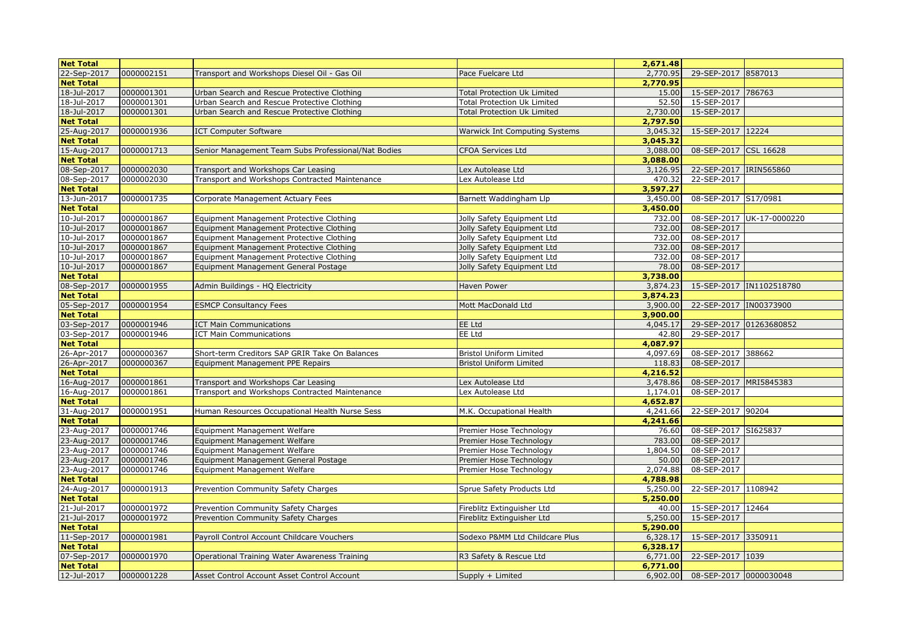| <b>Net Total</b> |            |                                                     |                                      | 2,671.48 |                         |                           |
|------------------|------------|-----------------------------------------------------|--------------------------------------|----------|-------------------------|---------------------------|
| 22-Sep-2017      | 0000002151 | Transport and Workshops Diesel Oil - Gas Oil        | Pace Fuelcare Ltd                    | 2,770.95 | 29-SEP-2017 8587013     |                           |
| <b>Net Total</b> |            |                                                     |                                      | 2,770.95 |                         |                           |
| 18-Jul-2017      | 0000001301 | Urban Search and Rescue Protective Clothing         | <b>Total Protection Uk Limited</b>   | 15.00    | 15-SEP-2017 786763      |                           |
| 18-Jul-2017      | 0000001301 | Urban Search and Rescue Protective Clothing         | <b>Total Protection Uk Limited</b>   | 52.50    | 15-SEP-2017             |                           |
| 18-Jul-2017      | 0000001301 | Urban Search and Rescue Protective Clothing         | <b>Total Protection Uk Limited</b>   | 2,730.00 | 15-SEP-2017             |                           |
| <b>Net Total</b> |            |                                                     |                                      | 2,797.50 |                         |                           |
| 25-Aug-2017      | 0000001936 | <b>ICT Computer Software</b>                        | <b>Warwick Int Computing Systems</b> | 3,045.32 | 15-SEP-2017 12224       |                           |
| <b>Net Total</b> |            |                                                     |                                      | 3,045.32 |                         |                           |
| 15-Aug-2017      | 0000001713 | Senior Management Team Subs Professional/Nat Bodies | <b>CFOA Services Ltd</b>             | 3,088.00 | 08-SEP-2017 CSL 16628   |                           |
| <b>Net Total</b> |            |                                                     |                                      | 3,088.00 |                         |                           |
| 08-Sep-2017      | 0000002030 | Transport and Workshops Car Leasing                 | Lex Autolease Ltd                    | 3,126.95 | 22-SEP-2017 IRIN565860  |                           |
| 08-Sep-2017      | 0000002030 | Transport and Workshops Contracted Maintenance      | Lex Autolease Ltd                    | 470.32   | 22-SEP-2017             |                           |
| <b>Net Total</b> |            |                                                     |                                      | 3,597.27 |                         |                           |
| 13-Jun-2017      | 0000001735 | Corporate Management Actuary Fees                   | Barnett Waddingham Llp               | 3,450.00 | 08-SEP-2017 S17/0981    |                           |
| <b>Net Total</b> |            |                                                     |                                      | 3,450.00 |                         |                           |
| 10-Jul-2017      | 0000001867 | Equipment Management Protective Clothing            | Jolly Safety Equipment Ltd           | 732.00   |                         | 08-SEP-2017 UK-17-0000220 |
| 10-Jul-2017      | 0000001867 | Equipment Management Protective Clothing            | Jolly Safety Equipment Ltd           | 732.00   | 08-SEP-2017             |                           |
| 10-Jul-2017      | 0000001867 | Equipment Management Protective Clothing            | Jolly Safety Equipment Ltd           | 732.00   | 08-SEP-2017             |                           |
| 10-Jul-2017      | 0000001867 | Equipment Management Protective Clothing            | Jolly Safety Equipment Ltd           | 732.00   | 08-SEP-2017             |                           |
| 10-Jul-2017      | 0000001867 | Equipment Management Protective Clothing            | Jolly Safety Equipment Ltd           | 732.00   | 08-SEP-2017             |                           |
| 10-Jul-2017      | 0000001867 | Equipment Management General Postage                | Jolly Safety Equipment Ltd           | 78.00    | 08-SEP-2017             |                           |
| <b>Net Total</b> |            |                                                     |                                      | 3,738.00 |                         |                           |
| 08-Sep-2017      | 0000001955 | Admin Buildings - HQ Electricity                    | Haven Power                          | 3,874.23 |                         | 15-SEP-2017  IN1102518780 |
| <b>Net Total</b> |            |                                                     |                                      | 3,874.23 |                         |                           |
| 05-Sep-2017      | 0000001954 | <b>ESMCP Consultancy Fees</b>                       | Mott MacDonald Ltd                   | 3,900.00 | 22-SEP-2017  IN00373900 |                           |
| <b>Net Total</b> |            |                                                     |                                      | 3,900.00 |                         |                           |
| 03-Sep-2017      | 0000001946 | <b>ICT Main Communications</b>                      | EE Ltd                               | 4,045.17 | 29-SEP-2017 01263680852 |                           |
| 03-Sep-2017      | 0000001946 | <b>ICT Main Communications</b>                      | EE Ltd                               | 42.80    | 29-SEP-2017             |                           |
| <b>Net Total</b> |            |                                                     |                                      | 4,087.97 |                         |                           |
| 26-Apr-2017      | 0000000367 | Short-term Creditors SAP GRIR Take On Balances      | <b>Bristol Uniform Limited</b>       | 4,097.69 | 08-SEP-2017 388662      |                           |
| 26-Apr-2017      | 0000000367 | Equipment Management PPE Repairs                    | <b>Bristol Uniform Limited</b>       | 118.83   | 08-SEP-2017             |                           |
| <b>Net Total</b> |            |                                                     |                                      | 4,216.52 |                         |                           |
| 16-Aug-2017      | 0000001861 | Transport and Workshops Car Leasing                 | Lex Autolease Ltd                    | 3,478.86 | 08-SEP-2017 MRI5845383  |                           |
| 16-Aug-2017      | 0000001861 | Transport and Workshops Contracted Maintenance      | Lex Autolease Ltd                    | 1,174.01 | 08-SEP-2017             |                           |
| <b>Net Total</b> |            |                                                     |                                      | 4,652.87 |                         |                           |
| 31-Aug-2017      | 0000001951 | Human Resources Occupational Health Nurse Sess      | M.K. Occupational Health             | 4,241.66 | 22-SEP-2017 90204       |                           |
| <b>Net Total</b> |            |                                                     |                                      | 4,241.66 |                         |                           |
| 23-Aug-2017      | 0000001746 | Equipment Management Welfare                        | Premier Hose Technology              | 76.60    | 08-SEP-2017 SI625837    |                           |
| 23-Aug-2017      | 0000001746 | Equipment Management Welfare                        | Premier Hose Technology              | 783.00   | 08-SEP-2017             |                           |
| 23-Aug-2017      | 0000001746 | Equipment Management Welfare                        | Premier Hose Technology              | 1,804.50 | 08-SEP-2017             |                           |
| 23-Aug-2017      | 0000001746 | Equipment Management General Postage                | Premier Hose Technology              | 50.00    | 08-SEP-2017             |                           |
| 23-Aug-2017      | 0000001746 | Equipment Management Welfare                        | Premier Hose Technology              | 2,074.88 | 08-SEP-2017             |                           |
| <b>Net Total</b> |            |                                                     |                                      | 4,788.98 |                         |                           |
| 24-Aug-2017      | 0000001913 | Prevention Community Safety Charges                 | Sprue Safety Products Ltd            | 5,250.00 | 22-SEP-2017 1108942     |                           |
| <b>Net Total</b> |            |                                                     |                                      | 5,250.00 |                         |                           |
| 21-Jul-2017      | 0000001972 | Prevention Community Safety Charges                 | Fireblitz Extinguisher Ltd           | 40.00    | 15-SEP-2017 12464       |                           |
| 21-Jul-2017      | 0000001972 | Prevention Community Safety Charges                 | Fireblitz Extinguisher Ltd           | 5,250.00 | 15-SEP-2017             |                           |
| <b>Net Total</b> |            |                                                     |                                      | 5,290.00 |                         |                           |
| 11-Sep-2017      | 0000001981 | Payroll Control Account Childcare Vouchers          | Sodexo P&MM Ltd Childcare Plus       | 6,328.17 | 15-SEP-2017 3350911     |                           |
| <b>Net Total</b> |            |                                                     |                                      | 6,328.17 |                         |                           |
| 07-Sep-2017      | 0000001970 | Operational Training Water Awareness Training       | R3 Safety & Rescue Ltd               | 6,771.00 | 22-SEP-2017 1039        |                           |
| <b>Net Total</b> |            |                                                     |                                      | 6,771.00 |                         |                           |
| 12-Jul-2017      | 0000001228 | Asset Control Account Asset Control Account         | Supply + Limited                     | 6,902.00 | 08-SEP-2017 0000030048  |                           |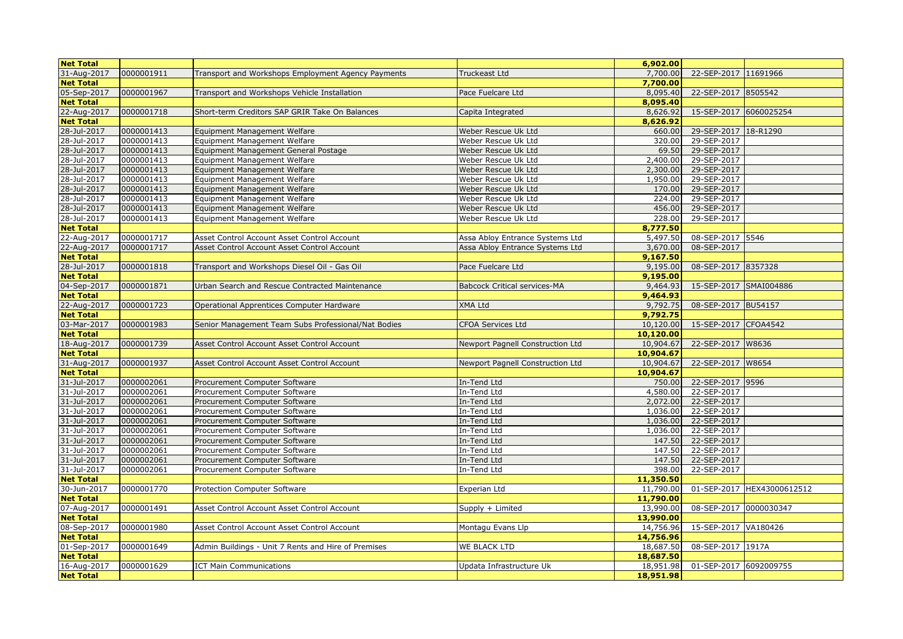| <b>Net Total</b> |            |                                                     |                                     | 6,902.00  |                        |                            |
|------------------|------------|-----------------------------------------------------|-------------------------------------|-----------|------------------------|----------------------------|
| 31-Aug-2017      | 0000001911 | Transport and Workshops Employment Agency Payments  | Truckeast Ltd                       | 7,700.00  | 22-SEP-2017 11691966   |                            |
| <b>Net Total</b> |            |                                                     |                                     | 7.700.00  |                        |                            |
| 05-Sep-2017      | 0000001967 | Transport and Workshops Vehicle Installation        | Pace Fuelcare Ltd                   | 8,095.40  | 22-SEP-2017 8505542    |                            |
| <b>Net Total</b> |            |                                                     |                                     | 8,095.40  |                        |                            |
| 22-Aug-2017      | 0000001718 | Short-term Creditors SAP GRIR Take On Balances      | Capita Integrated                   | 8,626.92  | 15-SEP-2017 6060025254 |                            |
| <b>Net Total</b> |            |                                                     |                                     | 8,626.92  |                        |                            |
| 28-Jul-2017      | 0000001413 | Equipment Management Welfare                        | Weber Rescue Uk Ltd                 | 660.00    | 29-SEP-2017 18-R1290   |                            |
| 28-Jul-2017      | 0000001413 | Equipment Management Welfare                        | Weber Rescue Uk Ltd                 | 320.00    | 29-SEP-2017            |                            |
| 28-Jul-2017      | 0000001413 | Equipment Management General Postage                | Weber Rescue Uk Ltd                 | 69.50     | 29-SEP-2017            |                            |
| 28-Jul-2017      | 0000001413 | Equipment Management Welfare                        | Weber Rescue Uk Ltd                 | 2,400.00  | 29-SEP-2017            |                            |
| 28-Jul-2017      | 0000001413 | Equipment Management Welfare                        | Weber Rescue Uk Ltd                 | 2,300.00  | 29-SEP-2017            |                            |
| 28-Jul-2017      | 0000001413 | Equipment Management Welfare                        | Weber Rescue Uk Ltd                 | 1,950.00  | 29-SEP-2017            |                            |
| 28-Jul-2017      | 0000001413 | Equipment Management Welfare                        | Weber Rescue Uk Ltd                 | 170.00    | 29-SEP-2017            |                            |
| 28-Jul-2017      | 0000001413 | Equipment Management Welfare                        | Weber Rescue Uk Ltd                 | 224.00    | 29-SEP-2017            |                            |
| 28-Jul-2017      | 0000001413 | Equipment Management Welfare                        | Weber Rescue Uk Ltd                 | 456.00    | 29-SEP-2017            |                            |
| $28 -$ Jul-2017  | 0000001413 | Equipment Management Welfare                        | Weber Rescue Uk Ltd                 | 228.00    | 29-SEP-2017            |                            |
| <b>Net Total</b> |            |                                                     |                                     | 8,777.50  |                        |                            |
| 22-Aug-2017      | 0000001717 | Asset Control Account Asset Control Account         | Assa Abloy Entrance Systems Ltd     | 5,497.50  | 08-SEP-2017 5546       |                            |
| 22-Aug-2017      | 0000001717 | Asset Control Account Asset Control Account         | Assa Abloy Entrance Systems Ltd     | 3,670.00  | 08-SEP-2017            |                            |
| <b>Net Total</b> |            |                                                     |                                     | 9,167.50  |                        |                            |
| 28-Jul-2017      | 0000001818 | Transport and Workshops Diesel Oil - Gas Oil        | Pace Fuelcare Ltd                   | 9,195.00  | 08-SEP-2017 8357328    |                            |
| <b>Net Total</b> |            |                                                     |                                     | 9,195.00  |                        |                            |
| 04-Sep-2017      | 0000001871 | Urban Search and Rescue Contracted Maintenance      | <b>Babcock Critical services-MA</b> | 9,464.93  | 15-SEP-2017 SMAI004886 |                            |
| <b>Net Total</b> |            |                                                     |                                     | 9,464.93  |                        |                            |
| 22-Aug-2017      | 0000001723 | Operational Apprentices Computer Hardware           | XMA Ltd                             | 9,792.75  | 08-SEP-2017 BU54157    |                            |
| <b>Net Total</b> |            |                                                     |                                     | 9,792.75  |                        |                            |
| 03-Mar-2017      | 0000001983 | Senior Management Team Subs Professional/Nat Bodies | <b>CFOA Services Ltd</b>            | 10,120.00 | 15-SEP-2017 CFOA4542   |                            |
| <b>Net Total</b> |            |                                                     |                                     | 10,120.00 |                        |                            |
| 18-Aug-2017      | 0000001739 | Asset Control Account Asset Control Account         | Newport Pagnell Construction Ltd    | 10,904.67 | 22-SEP-2017 W8636      |                            |
| <b>Net Total</b> |            |                                                     |                                     | 10,904.67 |                        |                            |
| 31-Aug-2017      | 0000001937 | Asset Control Account Asset Control Account         | Newport Pagnell Construction Ltd    | 10,904.67 | 22-SEP-2017 W8654      |                            |
| <b>Net Total</b> |            |                                                     |                                     | 10,904.67 |                        |                            |
| 31-Jul-2017      | 0000002061 | Procurement Computer Software                       | In-Tend Ltd                         | 750.00    | 22-SEP-2017 9596       |                            |
| 31-Jul-2017      | 0000002061 | Procurement Computer Software                       | In-Tend Ltd                         | 4,580.00  | 22-SEP-2017            |                            |
| 31-Jul-2017      | 0000002061 | Procurement Computer Software                       | In-Tend Ltd                         | 2,072.00  | 22-SEP-2017            |                            |
| 31-Jul-2017      | 0000002061 | Procurement Computer Software                       | In-Tend Ltd                         | 1,036.00  | 22-SEP-2017            |                            |
| 31-Jul-2017      | 0000002061 | Procurement Computer Software                       | In-Tend Ltd                         | 1,036.00  | 22-SEP-2017            |                            |
| 31-Jul-2017      | 0000002061 | Procurement Computer Software                       | In-Tend Ltd                         | 1,036.00  | 22-SEP-2017            |                            |
| 31-Jul-2017      | 0000002061 | Procurement Computer Software                       | In-Tend Ltd                         | 147.50    | 22-SEP-2017            |                            |
| 31-Jul-2017      | 0000002061 | Procurement Computer Software                       | In-Tend Ltd                         | 147.50    | 22-SEP-2017            |                            |
| 31-Jul-2017      | 0000002061 | Procurement Computer Software                       | In-Tend Ltd                         | 147.50    | 22-SEP-2017            |                            |
| 31-Jul-2017      | 0000002061 | Procurement Computer Software                       | In-Tend Ltd                         | 398.00    | 22-SEP-2017            |                            |
| <b>Net Total</b> |            |                                                     |                                     | 11,350.50 |                        |                            |
| 30-Jun-2017      | 0000001770 | Protection Computer Software                        | Experian Ltd                        | 11,790.00 |                        | 01-SEP-2017 HEX43000612512 |
| <b>Net Total</b> |            |                                                     |                                     | 11,790.00 |                        |                            |
| 07-Aug-2017      | 0000001491 | Asset Control Account Asset Control Account         | Supply + Limited                    | 13,990.00 | 08-SEP-2017 0000030347 |                            |
| <b>Net Total</b> |            |                                                     |                                     | 13,990.00 |                        |                            |
| 08-Sep-2017      | 0000001980 | Asset Control Account Asset Control Account         | Montagu Evans Llp                   | 14,756.96 | 15-SEP-2017 VA180426   |                            |
| <b>Net Total</b> |            |                                                     |                                     | 14,756.96 |                        |                            |
| 01-Sep-2017      | 0000001649 | Admin Buildings - Unit 7 Rents and Hire of Premises | WE BLACK LTD                        | 18,687.50 | 08-SEP-2017 1917A      |                            |
| <b>Net Total</b> |            |                                                     |                                     | 18,687.50 |                        |                            |
| 16-Aug-2017      | 0000001629 | <b>ICT Main Communications</b>                      | Updata Infrastructure Uk            | 18,951.98 | 01-SEP-2017 6092009755 |                            |
| <b>Net Total</b> |            |                                                     |                                     | 18,951.98 |                        |                            |